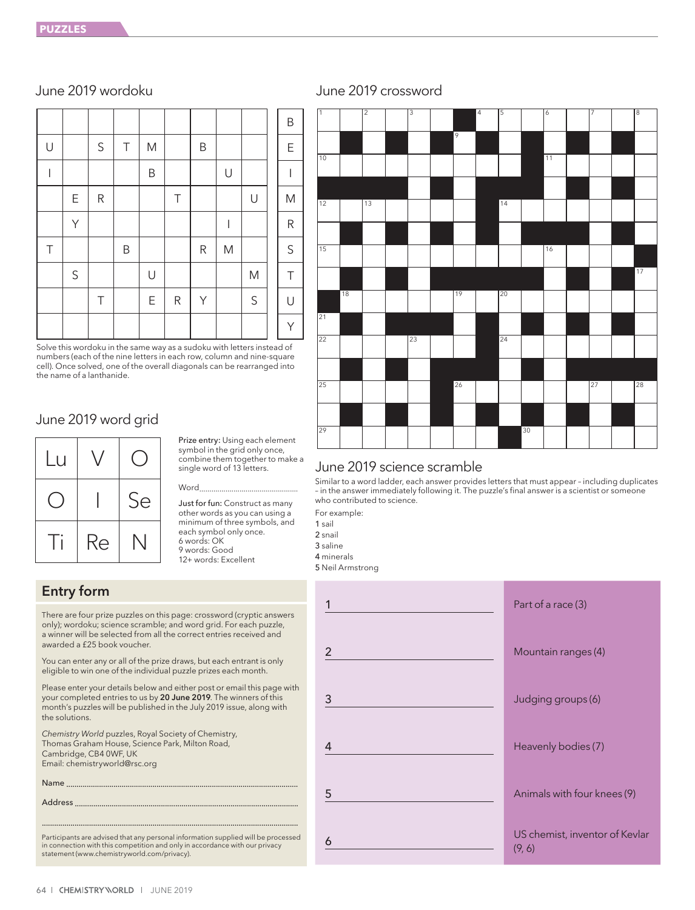|        |             |             |         |           |        |           |           |             | B                                                                                                          |
|--------|-------------|-------------|---------|-----------|--------|-----------|-----------|-------------|------------------------------------------------------------------------------------------------------------|
| $\cup$ |             | $\mathsf S$ | $\top$  | ${\sf M}$ |        | $\sf B$   |           |             | $\mathsf E$                                                                                                |
| I      |             |             |         | B         |        |           | $\cup$    |             |                                                                                                            |
|        | Ε           | ${\sf R}$   |         |           | $\top$ |           |           | U           | $\mathsf{M}% _{T}=\mathsf{M}_{T}\!\left( a,b\right) ,\ \mathsf{M}_{T}=\mathsf{M}_{T}\!\left( a,b\right) ,$ |
|        | Υ           |             |         |           |        |           | I         |             | ${\sf R}$                                                                                                  |
| $\top$ |             |             | $\sf B$ |           |        | ${\sf R}$ | ${\sf M}$ |             | $\mathsf S$                                                                                                |
|        | $\mathsf S$ |             |         | U         |        |           |           | ${\sf M}$   | $\top$                                                                                                     |
|        |             | $\top$      |         | E         | R      | Y         |           | $\mathsf S$ | $\bigcup$                                                                                                  |
|        |             |             |         |           |        |           |           |             | Υ                                                                                                          |

Solve this wordoku in the same way as a sudoku with letters instead of numbers (each of the nine letters in each row, column and nine-square cell). Once solved, one of the overall diagonals can be rearranged into the name of a lanthanide.

# June 2019 word grid



Prize entry: Using each element symbol in the grid only once, combine them together to make a single word of 13 letters.

# Word.........

Just for fun: Construct as many other words as you can using a minimum of three symbols, and each symbol only once. 6 words: OK 9 words: Good 12+ words: Excellent

# Entry form

There are four prize puzzles on this page: crossword (cryptic answers only); wordoku; science scramble; and word grid. For each puzzle, a winner will be selected from all the correct entries received and awarded a £25 book voucher.

You can enter any or all of the prize draws, but each entrant is only eligible to win one of the individual puzzle prizes each month.

Please enter your details below and either post or email this page with your completed entries to us by 20 June 2019. The winners of this month's puzzles will be published in the July 2019 issue, along with the solutions.

*Chemistry World* puzzles, Royal Society of Chemistry, Thomas Graham House, Science Park, Milton Road, Cambridge, CB4 0WF, UK Email: chemistryworld@rsc.org

Name ........

**Address** 

............................................................................................................................. Participants are advised that any personal information supplied will be processed in connection with this competition and only in accordance with our privacy statement (www.chemistryworld.com/privacy).





# June 2019 science scramble

Similar to a word ladder, each answer provides letters that must appear – including duplicates – in the answer immediately following it. The puzzle's final answer is a scientist or someone who contributed to science.

For example:

1 sail

2 snail 3 saline

4 minerals

5 Neil Armstrong